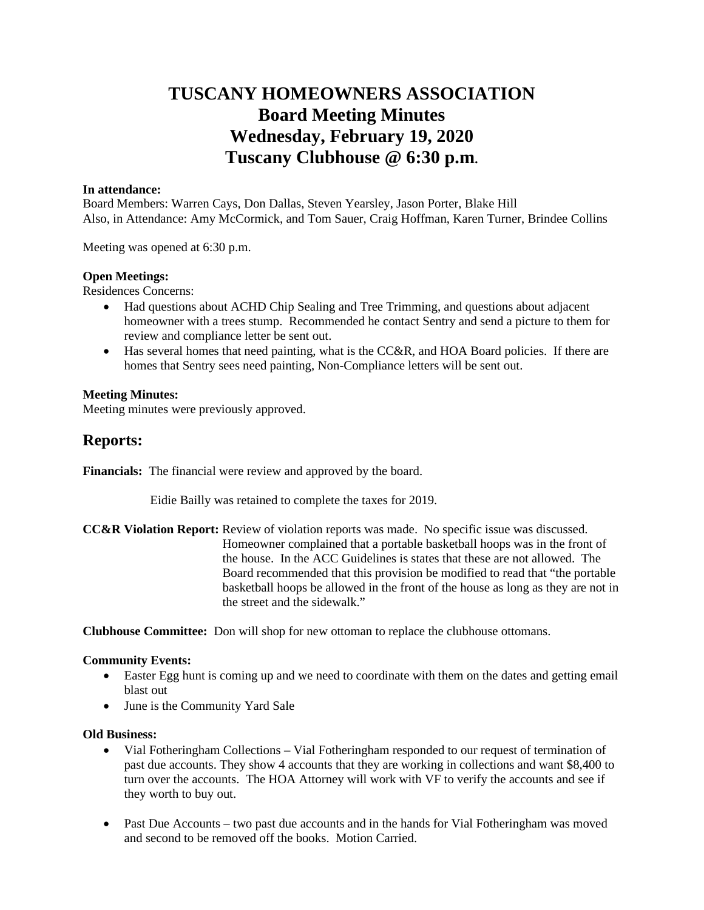# **TUSCANY HOMEOWNERS ASSOCIATION Board Meeting Minutes Wednesday, February 19, 2020 Tuscany Clubhouse @ 6:30 p.m.**

## **In attendance:**

Board Members: Warren Cays, Don Dallas, Steven Yearsley, Jason Porter, Blake Hill Also, in Attendance: Amy McCormick, and Tom Sauer, Craig Hoffman, Karen Turner, Brindee Collins

Meeting was opened at 6:30 p.m.

## **Open Meetings:**

Residences Concerns:

- Had questions about ACHD Chip Sealing and Tree Trimming, and questions about adjacent homeowner with a trees stump. Recommended he contact Sentry and send a picture to them for review and compliance letter be sent out.
- $\bullet$  Has several homes that need painting, what is the CC&R, and HOA Board policies. If there are homes that Sentry sees need painting, Non-Compliance letters will be sent out.

## **Meeting Minutes:**

Meeting minutes were previously approved.

# **Reports:**

**Financials:** The financial were review and approved by the board.

Eidie Bailly was retained to complete the taxes for 2019.

**CC&R Violation Report:** Review of violation reports was made. No specific issue was discussed. Homeowner complained that a portable basketball hoops was in the front of the house. In the ACC Guidelines is states that these are not allowed. The Board recommended that this provision be modified to read that "the portable basketball hoops be allowed in the front of the house as long as they are not in the street and the sidewalk."

**Clubhouse Committee:** Don will shop for new ottoman to replace the clubhouse ottomans.

## **Community Events:**

- Easter Egg hunt is coming up and we need to coordinate with them on the dates and getting email blast out
- June is the Community Yard Sale

## **Old Business:**

- Vial Fotheringham Collections Vial Fotheringham responded to our request of termination of past due accounts. They show 4 accounts that they are working in collections and want \$8,400 to turn over the accounts. The HOA Attorney will work with VF to verify the accounts and see if they worth to buy out.
- Past Due Accounts two past due accounts and in the hands for Vial Fotheringham was moved and second to be removed off the books. Motion Carried.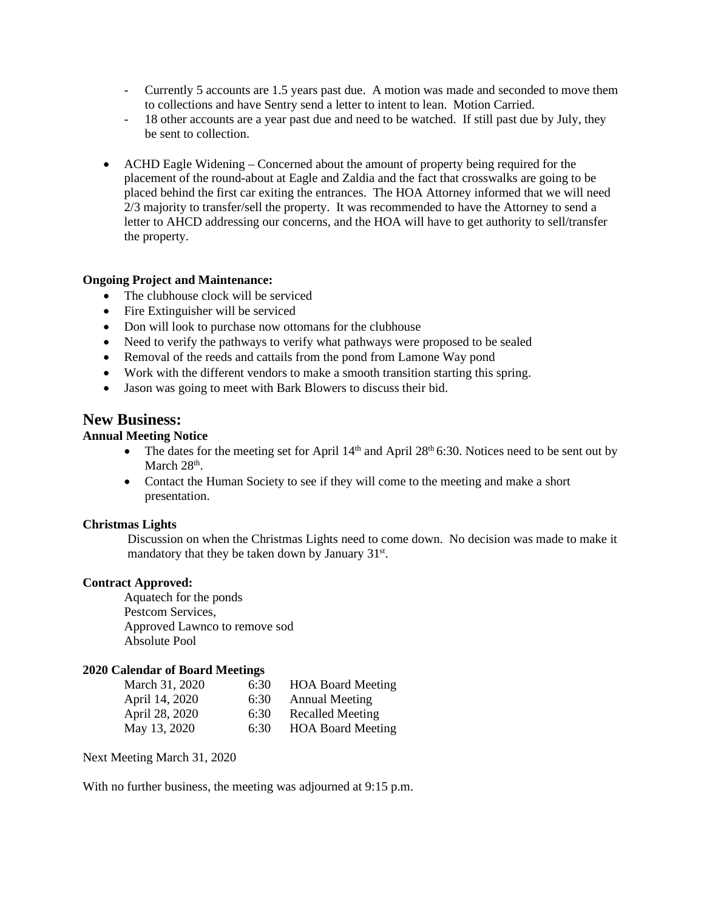- Currently 5 accounts are 1.5 years past due. A motion was made and seconded to move them to collections and have Sentry send a letter to intent to lean. Motion Carried.
- 18 other accounts are a year past due and need to be watched. If still past due by July, they be sent to collection.
- ACHD Eagle Widening Concerned about the amount of property being required for the placement of the round-about at Eagle and Zaldia and the fact that crosswalks are going to be placed behind the first car exiting the entrances. The HOA Attorney informed that we will need 2/3 majority to transfer/sell the property. It was recommended to have the Attorney to send a letter to AHCD addressing our concerns, and the HOA will have to get authority to sell/transfer the property.

## **Ongoing Project and Maintenance:**

- The clubhouse clock will be serviced
- Fire Extinguisher will be serviced
- Don will look to purchase now ottomans for the clubhouse
- Need to verify the pathways to verify what pathways were proposed to be sealed
- Removal of the reeds and cattails from the pond from Lamone Way pond
- Work with the different vendors to make a smooth transition starting this spring.
- Jason was going to meet with Bark Blowers to discuss their bid.

## **New Business:**

## **Annual Meeting Notice**

- The dates for the meeting set for April  $14<sup>th</sup>$  and April  $28<sup>th</sup>$  6:30. Notices need to be sent out by March 28<sup>th</sup>.
- Contact the Human Society to see if they will come to the meeting and make a short presentation.

## **Christmas Lights**

Discussion on when the Christmas Lights need to come down. No decision was made to make it mandatory that they be taken down by January 31<sup>st</sup>.

## **Contract Approved:**

Aquatech for the ponds Pestcom Services, Approved Lawnco to remove sod Absolute Pool

## **2020 Calendar of Board Meetings**

| March 31, 2020 | 6:30 | <b>HOA Board Meeting</b> |
|----------------|------|--------------------------|
| April 14, 2020 | 6:30 | <b>Annual Meeting</b>    |
| April 28, 2020 | 6:30 | <b>Recalled Meeting</b>  |
| May 13, 2020   | 6:30 | <b>HOA Board Meeting</b> |

Next Meeting March 31, 2020

With no further business, the meeting was adjourned at 9:15 p.m.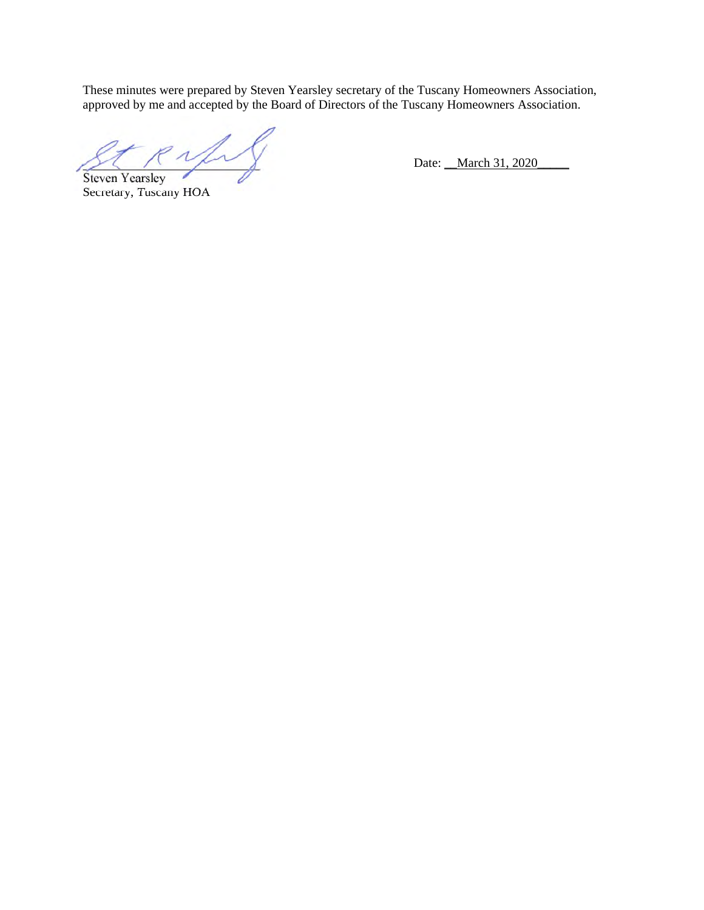These minutes were prepared by Steven Yearsley secretary of the Tuscany Homeowners Association, approved by me and accepted by the Board of Directors of the Tuscany Homeowners Association.

 $\overline{P}$   $\overline{P}$   $\overline{Q}$   $\overline{Q}$  Date: \_March 31, 2020 Steven Yearsley

Secretary, Tuscany HOA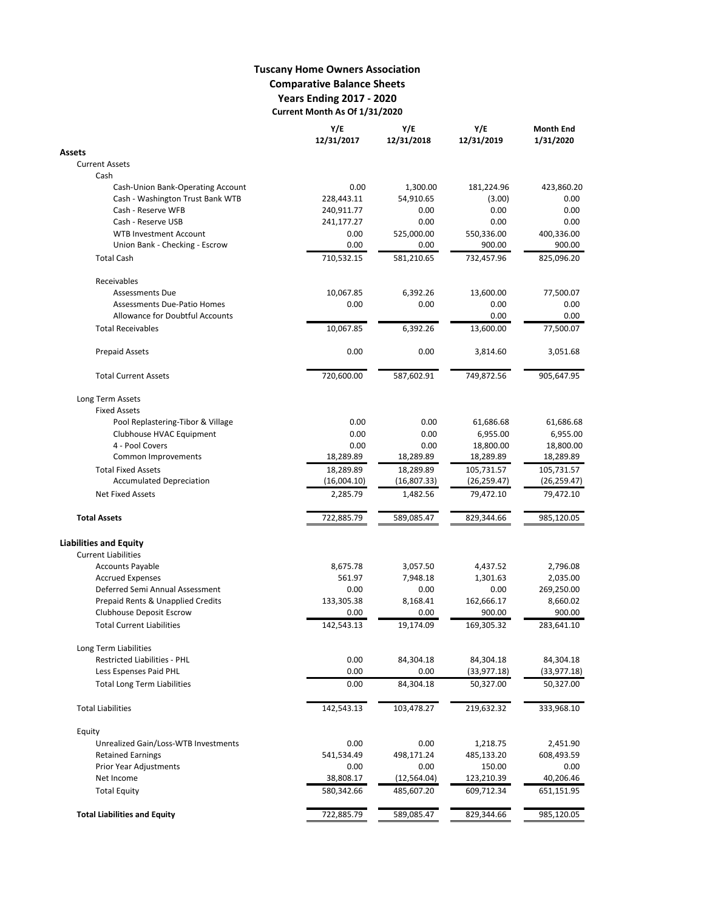## **Tuscany Home Owners Association Comparative Balance Sheets Years Ending 2017 - 2020 Current Month As Of 1/31/2020**

|                                      | Y/E<br>12/31/2017 | Y/E<br>12/31/2018 | Y/E<br>12/31/2019 | <b>Month End</b><br>1/31/2020 |
|--------------------------------------|-------------------|-------------------|-------------------|-------------------------------|
| Assets                               |                   |                   |                   |                               |
| <b>Current Assets</b>                |                   |                   |                   |                               |
| Cash                                 |                   |                   |                   |                               |
| Cash-Union Bank-Operating Account    | 0.00              | 1,300.00          | 181,224.96        | 423,860.20                    |
| Cash - Washington Trust Bank WTB     | 228,443.11        | 54,910.65         | (3.00)            | 0.00                          |
| Cash - Reserve WFB                   | 240,911.77        | 0.00              | 0.00              | 0.00                          |
| Cash - Reserve USB                   | 241,177.27        | 0.00              | 0.00              | 0.00                          |
| <b>WTB Investment Account</b>        | 0.00              | 525,000.00        | 550,336.00        | 400,336.00                    |
| Union Bank - Checking - Escrow       | 0.00              | 0.00              | 900.00            | 900.00                        |
| <b>Total Cash</b>                    | 710,532.15        | 581,210.65        | 732,457.96        | 825,096.20                    |
| Receivables                          |                   |                   |                   |                               |
| <b>Assessments Due</b>               | 10,067.85         | 6,392.26          | 13,600.00         | 77,500.07                     |
| <b>Assessments Due-Patio Homes</b>   | 0.00              | 0.00              | 0.00              | 0.00                          |
| Allowance for Doubtful Accounts      |                   |                   | 0.00              | 0.00                          |
| <b>Total Receivables</b>             | 10,067.85         | 6,392.26          | 13,600.00         | 77,500.07                     |
| <b>Prepaid Assets</b>                | 0.00              | 0.00              | 3,814.60          | 3,051.68                      |
| <b>Total Current Assets</b>          | 720,600.00        | 587,602.91        | 749,872.56        | 905,647.95                    |
| Long Term Assets                     |                   |                   |                   |                               |
| <b>Fixed Assets</b>                  |                   |                   |                   |                               |
| Pool Replastering-Tibor & Village    | 0.00              | 0.00              | 61,686.68         | 61,686.68                     |
| Clubhouse HVAC Equipment             | 0.00              | 0.00              | 6,955.00          | 6,955.00                      |
| 4 - Pool Covers                      | 0.00              | 0.00              | 18,800.00         | 18,800.00                     |
| Common Improvements                  | 18,289.89         | 18,289.89         | 18,289.89         | 18,289.89                     |
| <b>Total Fixed Assets</b>            | 18,289.89         | 18,289.89         | 105,731.57        | 105,731.57                    |
| <b>Accumulated Depreciation</b>      | (16,004.10)       | (16,807.33)       | (26, 259.47)      | (26, 259.47)                  |
| <b>Net Fixed Assets</b>              | 2,285.79          | 1,482.56          | 79,472.10         | 79,472.10                     |
| <b>Total Assets</b>                  | 722,885.79        | 589,085.47        | 829,344.66        | 985,120.05                    |
| <b>Liabilities and Equity</b>        |                   |                   |                   |                               |
| <b>Current Liabilities</b>           |                   |                   |                   |                               |
| <b>Accounts Payable</b>              | 8,675.78          | 3,057.50          | 4,437.52          | 2,796.08                      |
| <b>Accrued Expenses</b>              | 561.97            | 7,948.18          | 1,301.63          | 2,035.00                      |
| Deferred Semi Annual Assessment      | 0.00              | 0.00              | 0.00              | 269,250.00                    |
| Prepaid Rents & Unapplied Credits    | 133,305.38        | 8,168.41          | 162,666.17        | 8,660.02                      |
| Clubhouse Deposit Escrow             | 0.00              | 0.00              | 900.00            | 900.00                        |
| <b>Total Current Liabilities</b>     | 142,543.13        | 19,174.09         | 169,305.32        | 283,641.10                    |
| Long Term Liabilities                |                   |                   |                   |                               |
| <b>Restricted Liabilities - PHL</b>  | 0.00              | 84,304.18         | 84,304.18         | 84,304.18                     |
| Less Espenses Paid PHL               | 0.00              | 0.00              | (33,977.18)       | (33, 977.18)                  |
| <b>Total Long Term Liabilities</b>   | 0.00              | 84,304.18         | 50,327.00         | 50,327.00                     |
| <b>Total Liabilities</b>             | 142,543.13        | 103,478.27        | 219,632.32        | 333,968.10                    |
| Equity                               |                   |                   |                   |                               |
| Unrealized Gain/Loss-WTB Investments | 0.00              | 0.00              | 1,218.75          | 2,451.90                      |
| <b>Retained Earnings</b>             | 541,534.49        | 498,171.24        | 485,133.20        | 608,493.59                    |
| Prior Year Adjustments               | 0.00              | 0.00              | 150.00            | 0.00                          |
| Net Income                           | 38,808.17         | (12, 564.04)      | 123,210.39        | 40,206.46                     |
| <b>Total Equity</b>                  | 580,342.66        | 485,607.20        | 609,712.34        | 651,151.95                    |
| <b>Total Liabilities and Equity</b>  | 722,885.79        | 589,085.47        | 829,344.66        | 985,120.05                    |
|                                      |                   |                   |                   |                               |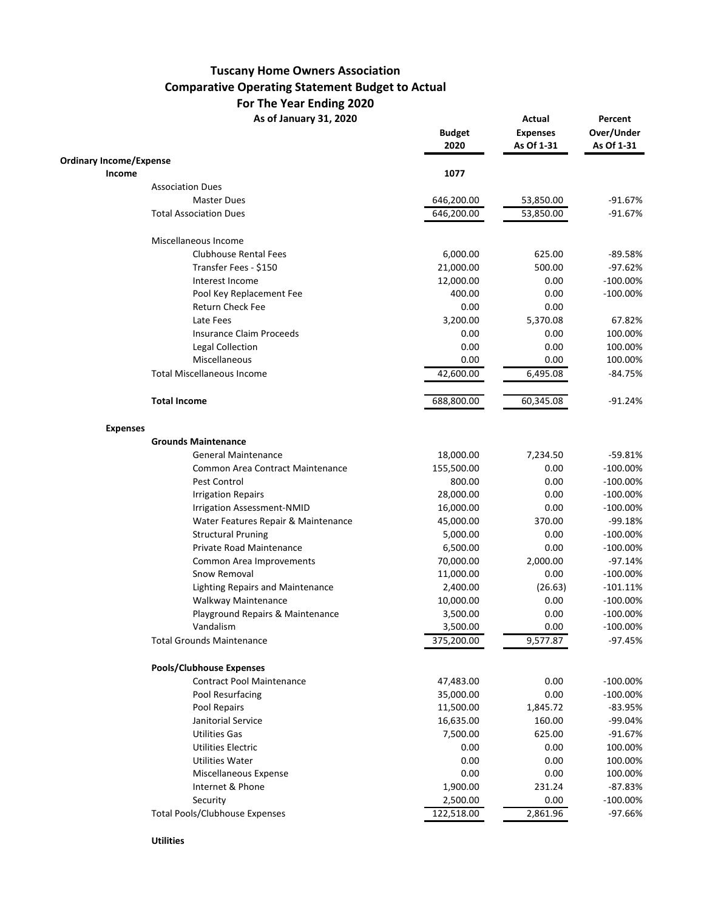## **Tuscany Home Owners Association Comparative Operating Statement Budget to Actual For The Year Ending 2020**

As of January 31, 2020 **Actual Percent** 

|                                               | <b>Budget</b><br>2020 | <b>Expenses</b><br>As Of 1-31 | Over/Under<br>As Of 1-31 |
|-----------------------------------------------|-----------------------|-------------------------------|--------------------------|
| <b>Ordinary Income/Expense</b>                |                       |                               |                          |
| Income                                        | 1077                  |                               |                          |
| <b>Association Dues</b>                       |                       |                               |                          |
| <b>Master Dues</b>                            | 646,200.00            | 53,850.00                     | $-91.67%$                |
| <b>Total Association Dues</b>                 | 646,200.00            | 53,850.00                     | $-91.67%$                |
| Miscellaneous Income                          |                       |                               |                          |
| <b>Clubhouse Rental Fees</b>                  | 6,000.00              | 625.00                        | $-89.58%$                |
| Transfer Fees - \$150                         | 21,000.00             | 500.00                        | $-97.62%$                |
| Interest Income                               | 12,000.00             | 0.00                          | $-100.00\%$              |
| Pool Key Replacement Fee                      | 400.00                | 0.00                          | $-100.00\%$              |
| Return Check Fee                              | 0.00                  | 0.00                          |                          |
| Late Fees                                     | 3,200.00              | 5,370.08                      | 67.82%                   |
| <b>Insurance Claim Proceeds</b>               | 0.00                  | 0.00                          | 100.00%                  |
| <b>Legal Collection</b>                       | 0.00                  | 0.00                          | 100.00%                  |
| Miscellaneous                                 | 0.00                  | 0.00                          | 100.00%                  |
| <b>Total Miscellaneous Income</b>             | 42,600.00             | 6,495.08                      | $-84.75%$                |
| <b>Total Income</b>                           | 688,800.00            | 60,345.08                     | $-91.24%$                |
|                                               |                       |                               |                          |
| <b>Expenses</b><br><b>Grounds Maintenance</b> |                       |                               |                          |
|                                               |                       |                               |                          |
| <b>General Maintenance</b>                    | 18,000.00             | 7,234.50                      | $-59.81%$                |
| Common Area Contract Maintenance              | 155,500.00            | 0.00                          | $-100.00%$               |
| Pest Control                                  | 800.00                | 0.00                          | $-100.00%$               |
| <b>Irrigation Repairs</b>                     | 28,000.00             | 0.00                          | $-100.00\%$              |
| Irrigation Assessment-NMID                    | 16,000.00             | 0.00                          | $-100.00\%$              |
| Water Features Repair & Maintenance           | 45,000.00             | 370.00                        | $-99.18%$                |
| <b>Structural Pruning</b>                     | 5,000.00              | 0.00                          | $-100.00\%$              |
| Private Road Maintenance                      | 6,500.00              | 0.00                          | $-100.00\%$              |
| Common Area Improvements                      | 70,000.00             | 2,000.00                      | $-97.14%$                |
| Snow Removal                                  | 11,000.00             | 0.00                          | $-100.00%$               |
| <b>Lighting Repairs and Maintenance</b>       | 2,400.00              | (26.63)                       | $-101.11%$               |
| Walkway Maintenance                           | 10,000.00             | 0.00                          | $-100.00\%$              |
| Playground Repairs & Maintenance              | 3,500.00              | 0.00                          | $-100.00\%$              |
| Vandalism                                     | 3,500.00              | 0.00                          | $-100.00\%$              |
| <b>Total Grounds Maintenance</b>              | 375,200.00            | 9,577.87                      | $-97.45%$                |
| <b>Pools/Clubhouse Expenses</b>               |                       |                               |                          |
| <b>Contract Pool Maintenance</b>              | 47,483.00             | 0.00                          | $-100.00%$               |
| Pool Resurfacing                              | 35,000.00             | 0.00                          | $-100.00%$               |
| Pool Repairs                                  | 11,500.00             | 1,845.72                      | $-83.95%$                |
| Janitorial Service                            | 16,635.00             | 160.00                        | $-99.04%$                |
| <b>Utilities Gas</b>                          | 7,500.00              | 625.00                        | $-91.67%$                |
| Utilities Electric                            | 0.00                  | 0.00                          | 100.00%                  |
| Utilities Water                               | 0.00                  | 0.00                          | 100.00%                  |
| Miscellaneous Expense                         | 0.00                  | 0.00                          | 100.00%                  |
| Internet & Phone                              | 1,900.00              | 231.24                        | $-87.83%$                |
| Security                                      | 2,500.00              | 0.00                          | $-100.00\%$              |
| <b>Total Pools/Clubhouse Expenses</b>         | 122,518.00            | 2,861.96                      | -97.66%                  |
|                                               |                       |                               |                          |